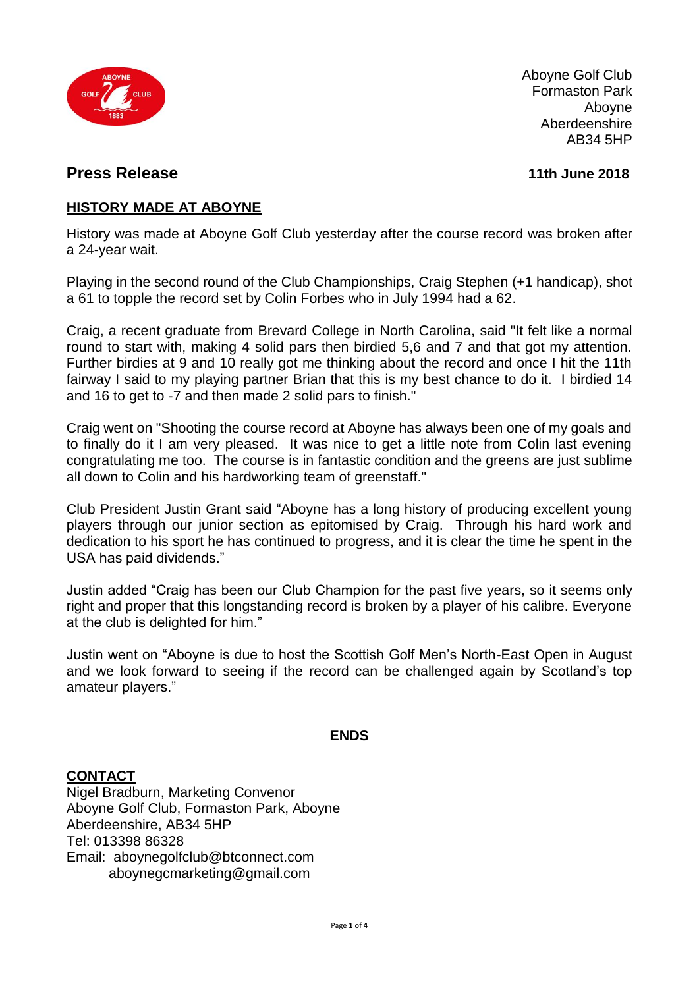

Aboyne Golf Club Formaston Park Aboyne Aberdeenshire  $AB34$  5HP

### **Press Release 11th June 2018**

#### **HISTORY MADE AT ABOYNE**

History was made at Aboyne Golf Club yesterday after the course record was broken after a 24-year wait.

Playing in the second round of the Club Championships, Craig Stephen (+1 handicap), shot a 61 to topple the record set by Colin Forbes who in July 1994 had a 62.

Craig, a recent graduate from Brevard College in North Carolina, said "It felt like a normal round to start with, making 4 solid pars then birdied 5,6 and 7 and that got my attention. Further birdies at 9 and 10 really got me thinking about the record and once I hit the 11th fairway I said to my playing partner Brian that this is my best chance to do it. I birdied 14 and 16 to get to -7 and then made 2 solid pars to finish."

Craig went on "Shooting the course record at Aboyne has always been one of my goals and to finally do it I am very pleased. It was nice to get a little note from Colin last evening congratulating me too. The course is in fantastic condition and the greens are just sublime all down to Colin and his hardworking team of greenstaff."

Club President Justin Grant said "Aboyne has a long history of producing excellent young players through our junior section as epitomised by Craig. Through his hard work and dedication to his sport he has continued to progress, and it is clear the time he spent in the USA has paid dividends."

Justin added "Craig has been our Club Champion for the past five years, so it seems only right and proper that this longstanding record is broken by a player of his calibre. Everyone at the club is delighted for him."

Justin went on "Aboyne is due to host the Scottish Golf Men's North-East Open in August and we look forward to seeing if the record can be challenged again by Scotland's top amateur players."

#### **ENDS**

#### **CONTACT**

Nigel Bradburn, Marketing Convenor Aboyne Golf Club, Formaston Park, Aboyne Aberdeenshire, AB34 5HP Tel: 013398 86328 Email: aboynegolfclub@btconnect.com aboynegcmarketing@gmail.com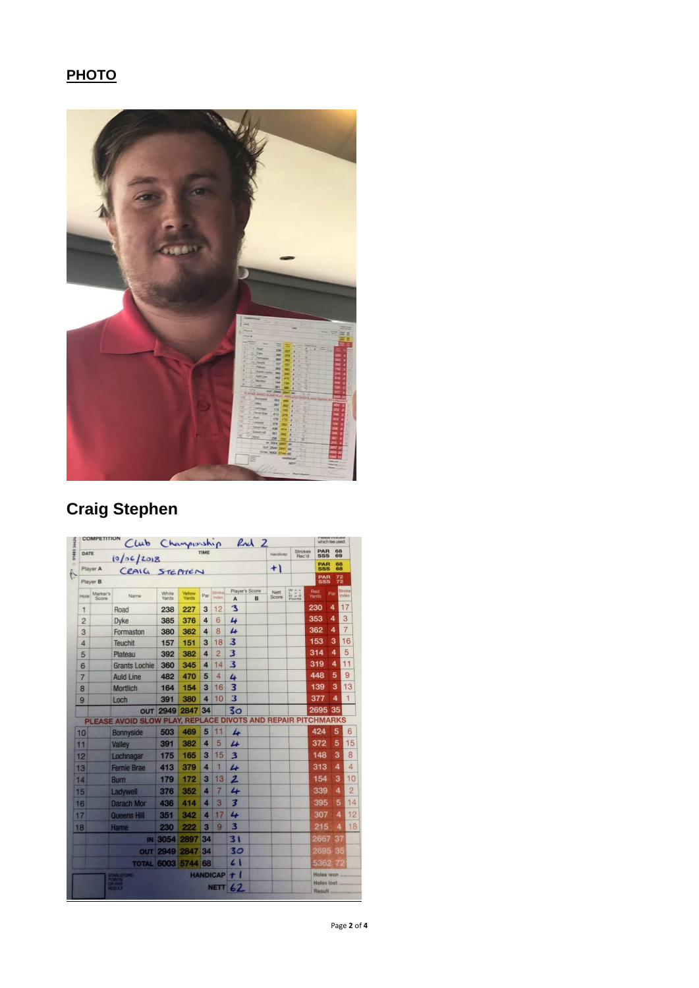## **PHOTO**



# **Craig Stephen**

|                                    | <b>COMPETITION</b> |                                                              | Rul 2<br>Club Championship |            |        |                 |                   |   |                         |                              | <b><i>ROMA BI PLAYAJANA</i></b><br>which tee used. |                                                                       |                 |
|------------------------------------|--------------------|--------------------------------------------------------------|----------------------------|------------|--------|-----------------|-------------------|---|-------------------------|------------------------------|----------------------------------------------------|-----------------------------------------------------------------------|-----------------|
| DATE<br>10/06/2018                 |                    |                                                              | TIME                       |            |        |                 |                   |   | Handicap                | <b>Strokes</b><br>Rec'd      |                                                    | PAR<br>68<br><b>SSS</b><br>69<br><b>PAR</b><br>68<br><b>SSS</b><br>68 |                 |
| 01883<br>Player A<br>CRAIG STEPHEN |                    |                                                              |                            |            |        |                 |                   |   | $+1$                    |                              |                                                    |                                                                       |                 |
|                                    | Player B           |                                                              |                            |            |        |                 |                   |   |                         |                              | <b>PAR</b><br><b>SSS</b>                           | $^{72}_{72}$                                                          |                 |
| Hole                               | Marker's           | Name                                                         | White                      | Yellow     | Par    | Stroke<br>Index | Player's Score    |   | Nett<br>Score           | $W = 4$<br>$H = 0$<br>Points | Red<br>Yards                                       | Par                                                                   | Stroke<br>Index |
|                                    | Score              |                                                              | Yards                      | Yards      |        | 12              | $\mathbf{A}$<br>3 | B |                         |                              | 230                                                | 4                                                                     | 17              |
| 1                                  |                    | Road                                                         | 238<br>385                 | 227<br>376 | 3<br>4 | 6               | 4                 |   |                         |                              | 353                                                | 4                                                                     | 3               |
| $\overline{2}$                     |                    | <b>D</b> vke                                                 |                            | 362        | 4      | 8               | 4                 |   |                         |                              | 362                                                | 4                                                                     | $\overline{7}$  |
| 3                                  |                    | Formaston<br>Teuchit                                         | 380<br>157                 | 151        | 3      | 18              | 3                 |   |                         |                              | 153                                                | 3                                                                     | 16              |
| $\overline{4}$                     |                    |                                                              | 392                        | 382        | 4      | $\overline{2}$  | 3                 |   |                         |                              | 314                                                | 4                                                                     | 5               |
| 5                                  |                    | Plateau<br><b>Grants Lochie</b>                              | 360                        | 345        | 4      | 14              | 3                 |   |                         |                              | 319                                                | 4                                                                     | 11              |
| 6                                  |                    | <b>Auld Line</b>                                             | 482                        | 470        | 5      | 4               |                   |   |                         |                              | 448                                                | 5                                                                     | 9               |
| $\overline{7}$                     |                    |                                                              | 164                        | 154        | 3      | 16              | 4<br>3            |   |                         |                              | 139                                                | 3                                                                     | 13              |
| 8                                  |                    | <b>Mortlich</b>                                              |                            | 380        | 4      | 10              | 3                 |   |                         |                              | 377                                                | 4                                                                     | $\mathbf 1$     |
| 9                                  |                    | Loch                                                         | 391                        | 2847       | 34     |                 | 3 <sub>O</sub>    |   |                         |                              | 2695 35                                            |                                                                       |                 |
|                                    |                    | PLEASE AVOID SLOW PLAY, REPLACE DIVOTS AND REPAIR PITCHMARKS | <b>OUT 2949</b>            |            |        |                 |                   |   |                         |                              |                                                    |                                                                       |                 |
| 10                                 |                    | <b>Bonnyside</b>                                             | 503                        | 469        | 5      | 11              | 4                 |   |                         |                              | 424                                                | 5                                                                     | 6               |
| 11                                 |                    | <b>Valley</b>                                                | 391                        | 382        | 4      | 5               | $\overline{u}$    |   |                         |                              | 372                                                | 5                                                                     | 15              |
| 12                                 |                    | Lochnagar                                                    | 175                        | 165        | 3      | 15              | 3                 |   |                         |                              | 148                                                | 3                                                                     | 8               |
| 13                                 |                    | <b>Fernie Brae</b>                                           | 413                        | 379        | 4      | 1               | 4                 |   |                         |                              | 313                                                | 4                                                                     | 4               |
| 14                                 |                    | <b>Burn</b>                                                  | 179                        | 172        | 3      | 13              | 2                 |   |                         |                              | 154                                                | 3                                                                     | 10              |
| 15                                 |                    | Ladywell                                                     | 376                        | 352        | 4      | 7               | 4                 |   |                         |                              | 339                                                | 4                                                                     |                 |
| 16                                 |                    | <b>Darach Mor</b>                                            | 436                        | 414        | 4      | 3               | 3                 |   |                         |                              | 395                                                | 5                                                                     | 14              |
| 17                                 |                    | <b>Queens Hill</b>                                           | 351                        | 342        | 4      | 17              | 4                 |   |                         |                              | 307                                                | 4                                                                     | 12              |
|                                    |                    |                                                              | 230                        | 222        | 3      | 9               | з                 |   |                         |                              | 215                                                | 4                                                                     | 18              |
| 18                                 |                    | Hame                                                         |                            |            |        |                 |                   |   |                         |                              |                                                    | 37                                                                    |                 |
|                                    |                    | IN                                                           | 3054                       | 2897       | 34     |                 | 31                |   |                         |                              | 2667                                               |                                                                       |                 |
|                                    |                    | <b>OUT</b>                                                   | 2949                       | 2847       | 34     |                 | 30                |   |                         |                              | 2695                                               | 35                                                                    |                 |
|                                    |                    | <b>TOTAL 6003</b>                                            |                            | 5744 68    |        |                 | $\epsilon$ 1      |   |                         |                              | 5362                                               | 762                                                                   |                 |
|                                    |                    | <b>TABLEFORD</b><br>OMV <sub>19</sub><br>HIPAGE              | <b>HANDICAP</b>            |            |        | $\tau$ (        |                   |   | Holes won<br>Holes lost |                              |                                                    |                                                                       |                 |
|                                    |                    | 생명                                                           | <b>NETT</b>                |            |        | 62              |                   |   |                         |                              | <b>Result </b>                                     |                                                                       |                 |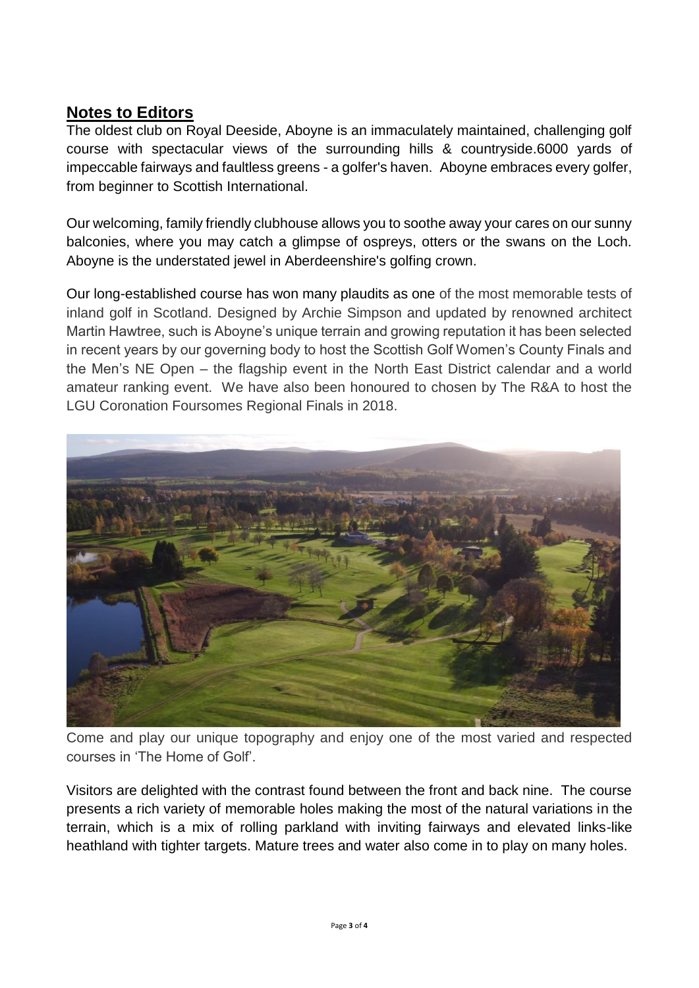## **Notes to Editors**

The oldest club on Royal Deeside, Aboyne is an immaculately maintained, challenging golf course with spectacular views of the surrounding hills & countryside.6000 yards of impeccable fairways and faultless greens - a golfer's haven. Aboyne embraces every golfer, from beginner to Scottish International.

Our welcoming, family friendly clubhouse allows you to soothe away your cares on our sunny balconies, where you may catch a glimpse of ospreys, otters or the swans on the Loch. Aboyne is the understated jewel in Aberdeenshire's golfing crown.

Our long-established course has won many plaudits as one of the most memorable tests of inland golf in Scotland. Designed by Archie Simpson and updated by renowned architect Martin Hawtree, such is Aboyne's unique terrain and growing reputation it has been selected in recent years by our governing body to host the Scottish Golf Women's County Finals and the Men's NE Open – the flagship event in the North East District calendar and a world amateur ranking event. We have also been honoured to chosen by The R&A to host the LGU Coronation Foursomes Regional Finals in 2018.



Come and play our unique topography and enjoy one of the most varied and respected courses in 'The Home of Golf'.

Visitors are delighted with the contrast found between the front and back nine. The course presents a rich variety of memorable holes making the most of the natural variations in the terrain, which is a mix of rolling parkland with inviting fairways and elevated links-like heathland with tighter targets. Mature trees and water also come in to play on many holes.